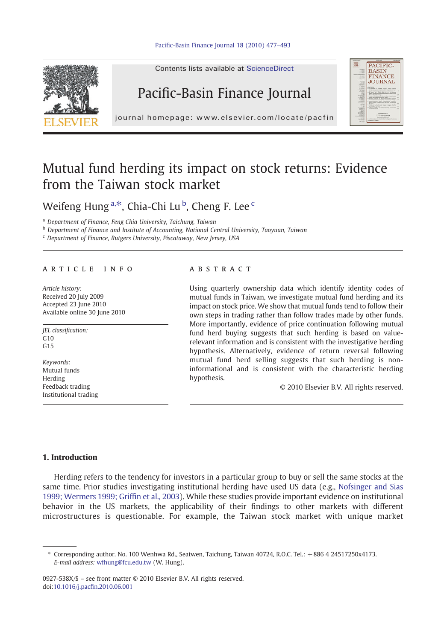

Contents lists available at ScienceDirect

## Pacific-Basin Finance Journal



journal homepage: www.elsevier.com/locate/pacfin

## Mutual fund herding its impact on stock returns: Evidence from the Taiwan stock market

Weifeng Hung<sup>a,\*</sup>, Chia-Chi Lu<sup>b</sup>, Cheng F. Lee<sup>c</sup>

<sup>a</sup> Department of Finance, Feng Chia University, Taichung, Taiwan

**b** Department of Finance and Institute of Accounting, National Central University, Taoyuan, Taiwan

<sup>c</sup> Department of Finance, Rutgers University, Piscataway, New Jersey, USA

### article info abstract

Article history: Received 20 July 2009 Accepted 23 June 2010 Available online 30 June 2010

JEL classification:  $C10$  $G<sub>15</sub>$ 

Keywords: Mutual funds Herding Feedback trading Institutional trading

Using quarterly ownership data which identify identity codes of mutual funds in Taiwan, we investigate mutual fund herding and its impact on stock price. We show that mutual funds tend to follow their own steps in trading rather than follow trades made by other funds. More importantly, evidence of price continuation following mutual fund herd buying suggests that such herding is based on valuerelevant information and is consistent with the investigative herding hypothesis. Alternatively, evidence of return reversal following mutual fund herd selling suggests that such herding is noninformational and is consistent with the characteristic herding hypothesis.

© 2010 Elsevier B.V. All rights reserved.

### 1. Introduction

Herding refers to the tendency for investors in a particular group to buy or sell the same stocks at the same time. Prior studies investigating institutional herding have used US data (e.g., [Nofsinger and Sias](#page--1-0) [1999; Wermers 1999; Grif](#page--1-0)fin et al., 2003). While these studies provide important evidence on institutional behavior in the US markets, the applicability of their findings to other markets with different microstructures is questionable. For example, the Taiwan stock market with unique market

0927-538X/\$ – see front matter © 2010 Elsevier B.V. All rights reserved. doi:10.1016/j.pacfi[n.2010.06.001](http://dx.doi.org/10.1016/j.pacfin.2010.06.001)

<sup>⁎</sup> Corresponding author. No. 100 Wenhwa Rd., Seatwen, Taichung, Taiwan 40724, R.O.C. Tel.: +886 4 24517250x4173. E-mail address: [wfhung@fcu.edu.tw](mailto:wfhung@fcu.edu.tw) (W. Hung).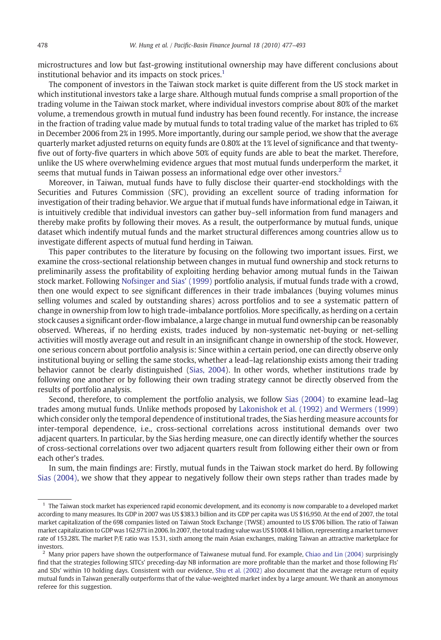microstructures and low but fast-growing institutional ownership may have different conclusions about institutional behavior and its impacts on stock prices.<sup>1</sup>

The component of investors in the Taiwan stock market is quite different from the US stock market in which institutional investors take a large share. Although mutual funds comprise a small proportion of the trading volume in the Taiwan stock market, where individual investors comprise about 80% of the market volume, a tremendous growth in mutual fund industry has been found recently. For instance, the increase in the fraction of trading value made by mutual funds to total trading value of the market has tripled to 6% in December 2006 from 2% in 1995. More importantly, during our sample period, we show that the average quarterly market adjusted returns on equity funds are 0.80% at the 1% level of significance and that twentyfive out of forty-five quarters in which above 50% of equity funds are able to beat the market. Therefore, unlike the US where overwhelming evidence argues that most mutual funds underperform the market, it seems that mutual funds in Taiwan possess an informational edge over other investors.<sup>2</sup>

Moreover, in Taiwan, mutual funds have to fully disclose their quarter-end stockholdings with the Securities and Futures Commission (SFC), providing an excellent source of trading information for investigation of their trading behavior. We argue that if mutual funds have informational edge in Taiwan, it is intuitively credible that individual investors can gather buy–sell information from fund managers and thereby make profits by following their moves. As a result, the outperformance by mutual funds, unique dataset which indentify mutual funds and the market structural differences among countries allow us to investigate different aspects of mutual fund herding in Taiwan.

This paper contributes to the literature by focusing on the following two important issues. First, we examine the cross-sectional relationship between changes in mutual fund ownership and stock returns to preliminarily assess the profitability of exploiting herding behavior among mutual funds in the Taiwan stock market. Following [Nofsinger and Sias' \(1999\)](#page--1-0) portfolio analysis, if mutual funds trade with a crowd, then one would expect to see significant differences in their trade imbalances (buying volumes minus selling volumes and scaled by outstanding shares) across portfolios and to see a systematic pattern of change in ownership from low to high trade-imbalance portfolios. More specifically, as herding on a certain stock causes a significant order-flow imbalance, a large change in mutual fund ownership can be reasonably observed. Whereas, if no herding exists, trades induced by non-systematic net-buying or net-selling activities will mostly average out and result in an insignificant change in ownership of the stock. However, one serious concern about portfolio analysis is: Since within a certain period, one can directly observe only institutional buying or selling the same stocks, whether a lead–lag relationship exists among their trading behavior cannot be clearly distinguished [\(Sias, 2004](#page--1-0)). In other words, whether institutions trade by following one another or by following their own trading strategy cannot be directly observed from the results of portfolio analysis.

Second, therefore, to complement the portfolio analysis, we follow [Sias \(2004\)](#page--1-0) to examine lead–lag trades among mutual funds. Unlike methods proposed by [Lakonishok et al. \(1992\) and Wermers \(1999\)](#page--1-0) which consider only the temporal dependence of institutional trades, the Sias herding measure accounts for inter-temporal dependence, i.e., cross-sectional correlations across institutional demands over two adjacent quarters. In particular, by the Sias herding measure, one can directly identify whether the sources of cross-sectional correlations over two adjacent quarters result from following either their own or from each other's trades.

In sum, the main findings are: Firstly, mutual funds in the Taiwan stock market do herd. By following [Sias \(2004\),](#page--1-0) we show that they appear to negatively follow their own steps rather than trades made by

<sup>&</sup>lt;sup>1</sup> The Taiwan stock market has experienced rapid economic development, and its economy is now comparable to a developed market according to many measures. Its GDP in 2007 was US \$383.3 billion and its GDP per capita was US \$16,950. At the end of 2007, the total market capitalization of the 698 companies listed on Taiwan Stock Exchange (TWSE) amounted to US \$706 billion. The ratio of Taiwan market capitalization to GDP was 162.97% in 2006. In 2007, the total trading value was US \$1008.41 billion, representing a market turnover rate of 153.28%. The market P/E ratio was 15.31, sixth among the main Asian exchanges, making Taiwan an attractive marketplace for investors.

 $<sup>2</sup>$  Many prior papers have shown the outperformance of Taiwanese mutual fund. For example, [Chiao and Lin \(2004\)](#page--1-0) surprisingly</sup> find that the strategies following SITCs' preceding-day NB information are more profitable than the market and those following FIs' and SDs' within 10 holding days. Consistent with our evidence, [Shu et al. \(2002\)](#page--1-0) also document that the average return of equity mutual funds in Taiwan generally outperforms that of the value-weighted market index by a large amount. We thank an anonymous referee for this suggestion.